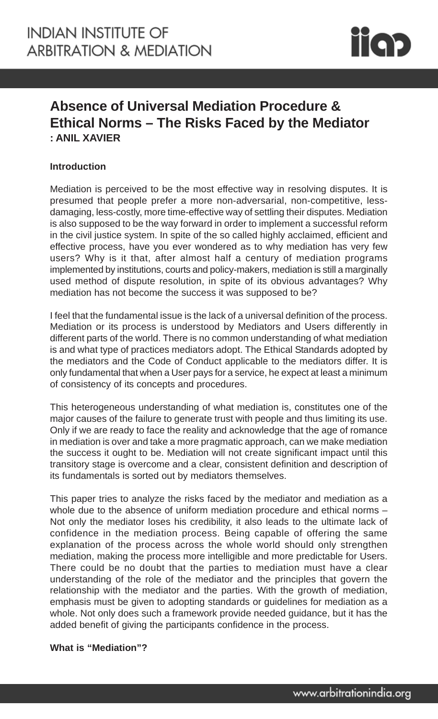

# **Absence of Universal Mediation Procedure & Ethical Norms – The Risks Faced by the Mediator : ANIL XAVIER**

#### **Introduction**

Mediation is perceived to be the most effective way in resolving disputes. It is presumed that people prefer a more non-adversarial, non-competitive, lessdamaging, less-costly, more time-effective way of settling their disputes. Mediation is also supposed to be the way forward in order to implement a successful reform in the civil justice system. In spite of the so called highly acclaimed, efficient and effective process, have you ever wondered as to why mediation has very few users? Why is it that, after almost half a century of mediation programs implemented by institutions, courts and policy-makers, mediation is still a marginally used method of dispute resolution, in spite of its obvious advantages? Why mediation has not become the success it was supposed to be?

I feel that the fundamental issue is the lack of a universal definition of the process. Mediation or its process is understood by Mediators and Users differently in different parts of the world. There is no common understanding of what mediation is and what type of practices mediators adopt. The Ethical Standards adopted by the mediators and the Code of Conduct applicable to the mediators differ. It is only fundamental that when a User pays for a service, he expect at least a minimum of consistency of its concepts and procedures.

This heterogeneous understanding of what mediation is, constitutes one of the major causes of the failure to generate trust with people and thus limiting its use. Only if we are ready to face the reality and acknowledge that the age of romance in mediation is over and take a more pragmatic approach, can we make mediation the success it ought to be. Mediation will not create significant impact until this transitory stage is overcome and a clear, consistent definition and description of its fundamentals is sorted out by mediators themselves.

This paper tries to analyze the risks faced by the mediator and mediation as a whole due to the absence of uniform mediation procedure and ethical norms -Not only the mediator loses his credibility, it also leads to the ultimate lack of confidence in the mediation process. Being capable of offering the same explanation of the process across the whole world should only strengthen mediation, making the process more intelligible and more predictable for Users. There could be no doubt that the parties to mediation must have a clear understanding of the role of the mediator and the principles that govern the relationship with the mediator and the parties. With the growth of mediation, emphasis must be given to adopting standards or guidelines for mediation as a whole. Not only does such a framework provide needed guidance, but it has the added benefit of giving the participants confidence in the process.

#### **What is "Mediation"?**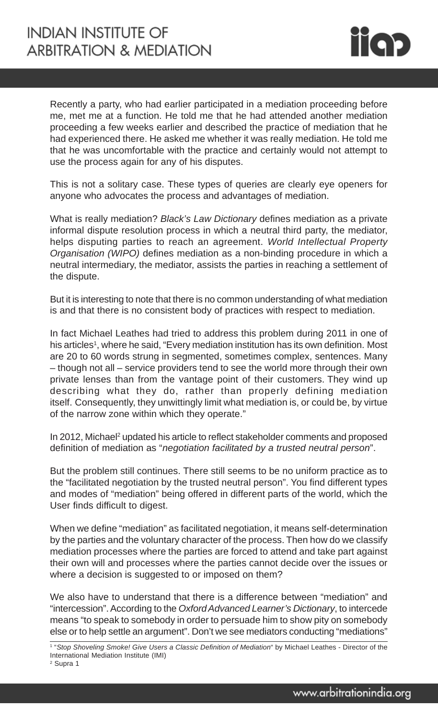

Recently a party, who had earlier participated in a mediation proceeding before me, met me at a function. He told me that he had attended another mediation proceeding a few weeks earlier and described the practice of mediation that he had experienced there. He asked me whether it was really mediation. He told me that he was uncomfortable with the practice and certainly would not attempt to use the process again for any of his disputes.

This is not a solitary case. These types of queries are clearly eye openers for anyone who advocates the process and advantages of mediation.

What is really mediation? *Black's Law Dictionary* defines mediation as a private informal dispute resolution process in which a neutral third party, the mediator, helps disputing parties to reach an agreement. *World Intellectual Property Organisation (WIPO)* defines mediation as a non-binding procedure in which a neutral intermediary, the mediator, assists the parties in reaching a settlement of the dispute.

But it is interesting to note that there is no common understanding of what mediation is and that there is no consistent body of practices with respect to mediation.

In fact Michael Leathes had tried to address this problem during 2011 in one of his articles<sup>1</sup>, where he said, "Every mediation institution has its own definition. Most are 20 to 60 words strung in segmented, sometimes complex, sentences. Many – though not all – service providers tend to see the world more through their own private lenses than from the vantage point of their customers. They wind up describing what they do, rather than properly defining mediation itself. Consequently, they unwittingly limit what mediation is, or could be, by virtue of the narrow zone within which they operate."

In 2012, Michael<sup>2</sup> updated his article to reflect stakeholder comments and proposed definition of mediation as "*negotiation facilitated by a trusted neutral person*".

But the problem still continues. There still seems to be no uniform practice as to the "facilitated negotiation by the trusted neutral person". You find different types and modes of "mediation" being offered in different parts of the world, which the User finds difficult to digest.

When we define "mediation" as facilitated negotiation, it means self-determination by the parties and the voluntary character of the process. Then how do we classify mediation processes where the parties are forced to attend and take part against their own will and processes where the parties cannot decide over the issues or where a decision is suggested to or imposed on them?

We also have to understand that there is a difference between "mediation" and "intercession". According to the *Oxford Advanced Learner's Dictionary*, to intercede means "to speak to somebody in order to persuade him to show pity on somebody else or to help settle an argument". Don't we see mediators conducting "mediations"

<sup>1 &</sup>quot;*Stop Shoveling Smoke! Give Users a Classic Definition of Mediation*" by Michael Leathes - Director of the International Mediation Institute (IMI)

<sup>2</sup> Supra 1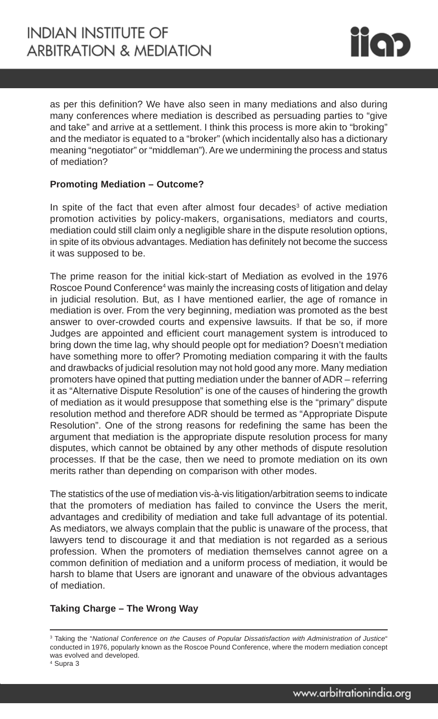

as per this definition? We have also seen in many mediations and also during many conferences where mediation is described as persuading parties to "give and take" and arrive at a settlement. I think this process is more akin to "broking" and the mediator is equated to a "broker" (which incidentally also has a dictionary meaning "negotiator" or "middleman"). Are we undermining the process and status of mediation?

# **Promoting Mediation – Outcome?**

In spite of the fact that even after almost four decades<sup>3</sup> of active mediation promotion activities by policy-makers, organisations, mediators and courts, mediation could still claim only a negligible share in the dispute resolution options, in spite of its obvious advantages. Mediation has definitely not become the success it was supposed to be.

The prime reason for the initial kick-start of Mediation as evolved in the 1976 Roscoe Pound Conference<sup>4</sup> was mainly the increasing costs of litigation and delay in judicial resolution. But, as I have mentioned earlier, the age of romance in mediation is over. From the very beginning, mediation was promoted as the best answer to over-crowded courts and expensive lawsuits. If that be so, if more Judges are appointed and efficient court management system is introduced to bring down the time lag, why should people opt for mediation? Doesn't mediation have something more to offer? Promoting mediation comparing it with the faults and drawbacks of judicial resolution may not hold good any more. Many mediation promoters have opined that putting mediation under the banner of ADR – referring it as "Alternative Dispute Resolution" is one of the causes of hindering the growth of mediation as it would presuppose that something else is the "primary" dispute resolution method and therefore ADR should be termed as "Appropriate Dispute Resolution". One of the strong reasons for redefining the same has been the argument that mediation is the appropriate dispute resolution process for many disputes, which cannot be obtained by any other methods of dispute resolution processes. If that be the case, then we need to promote mediation on its own merits rather than depending on comparison with other modes.

The statistics of the use of mediation vis-à-vis litigation/arbitration seems to indicate that the promoters of mediation has failed to convince the Users the merit, advantages and credibility of mediation and take full advantage of its potential. As mediators, we always complain that the public is unaware of the process, that lawyers tend to discourage it and that mediation is not regarded as a serious profession. When the promoters of mediation themselves cannot agree on a common definition of mediation and a uniform process of mediation, it would be harsh to blame that Users are ignorant and unaware of the obvious advantages of mediation.

# **Taking Charge – The Wrong Way**

<sup>3</sup> Taking the "*National Conference on the Causes of Popular Dissatisfaction with Administration of Justice*" conducted in 1976, popularly known as the Roscoe Pound Conference, where the modern mediation concept was evolved and developed.

<sup>4</sup> Supra 3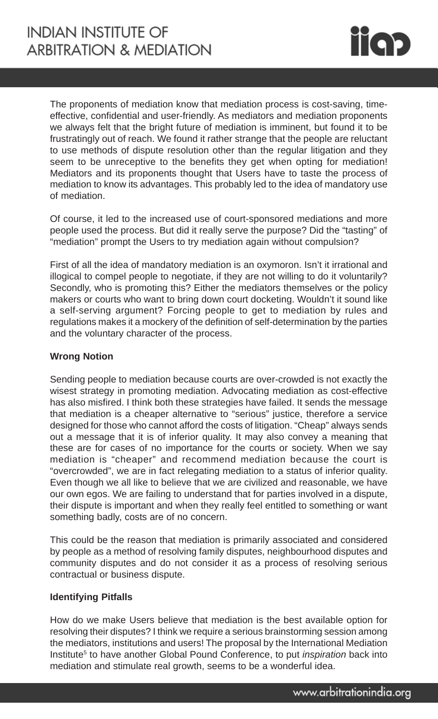

The proponents of mediation know that mediation process is cost-saving, timeeffective, confidential and user-friendly. As mediators and mediation proponents we always felt that the bright future of mediation is imminent, but found it to be frustratingly out of reach. We found it rather strange that the people are reluctant to use methods of dispute resolution other than the regular litigation and they seem to be unreceptive to the benefits they get when opting for mediation! Mediators and its proponents thought that Users have to taste the process of mediation to know its advantages. This probably led to the idea of mandatory use of mediation.

Of course, it led to the increased use of court-sponsored mediations and more people used the process. But did it really serve the purpose? Did the "tasting" of "mediation" prompt the Users to try mediation again without compulsion?

First of all the idea of mandatory mediation is an oxymoron. Isn't it irrational and illogical to compel people to negotiate, if they are not willing to do it voluntarily? Secondly, who is promoting this? Either the mediators themselves or the policy makers or courts who want to bring down court docketing. Wouldn't it sound like a self-serving argument? Forcing people to get to mediation by rules and regulations makes it a mockery of the definition of self-determination by the parties and the voluntary character of the process.

#### **Wrong Notion**

Sending people to mediation because courts are over-crowded is not exactly the wisest strategy in promoting mediation. Advocating mediation as cost-effective has also misfired. I think both these strategies have failed. It sends the message that mediation is a cheaper alternative to "serious" justice, therefore a service designed for those who cannot afford the costs of litigation. "Cheap" always sends out a message that it is of inferior quality. It may also convey a meaning that these are for cases of no importance for the courts or society. When we say mediation is "cheaper" and recommend mediation because the court is "overcrowded", we are in fact relegating mediation to a status of inferior quality. Even though we all like to believe that we are civilized and reasonable, we have our own egos. We are failing to understand that for parties involved in a dispute, their dispute is important and when they really feel entitled to something or want something badly, costs are of no concern.

This could be the reason that mediation is primarily associated and considered by people as a method of resolving family disputes, neighbourhood disputes and community disputes and do not consider it as a process of resolving serious contractual or business dispute.

# **Identifying Pitfalls**

How do we make Users believe that mediation is the best available option for resolving their disputes? I think we require a serious brainstorming session among the mediators, institutions and users! The proposal by the International Mediation Institute<sup>5</sup> to have another Global Pound Conference, to put *inspiration* back into mediation and stimulate real growth, seems to be a wonderful idea.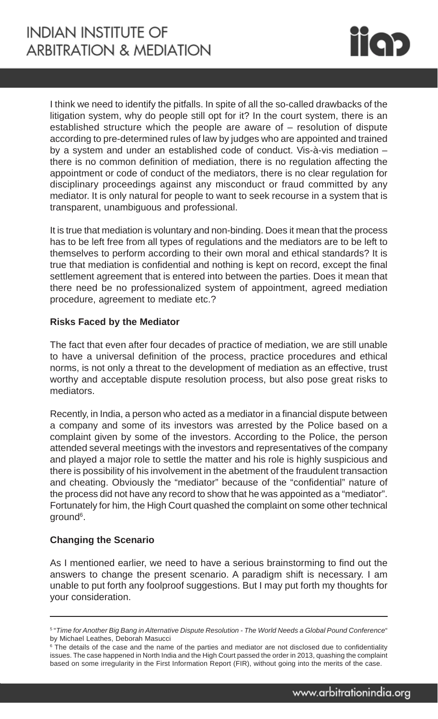

I think we need to identify the pitfalls. In spite of all the so-called drawbacks of the litigation system, why do people still opt for it? In the court system, there is an established structure which the people are aware of – resolution of dispute according to pre-determined rules of law by judges who are appointed and trained by a system and under an established code of conduct. Vis-à-vis mediation – there is no common definition of mediation, there is no regulation affecting the appointment or code of conduct of the mediators, there is no clear regulation for disciplinary proceedings against any misconduct or fraud committed by any mediator. It is only natural for people to want to seek recourse in a system that is transparent, unambiguous and professional.

It is true that mediation is voluntary and non-binding. Does it mean that the process has to be left free from all types of regulations and the mediators are to be left to themselves to perform according to their own moral and ethical standards? It is true that mediation is confidential and nothing is kept on record, except the final settlement agreement that is entered into between the parties. Does it mean that there need be no professionalized system of appointment, agreed mediation procedure, agreement to mediate etc.?

# **Risks Faced by the Mediator**

The fact that even after four decades of practice of mediation, we are still unable to have a universal definition of the process, practice procedures and ethical norms, is not only a threat to the development of mediation as an effective, trust worthy and acceptable dispute resolution process, but also pose great risks to mediators.

Recently, in India, a person who acted as a mediator in a financial dispute between a company and some of its investors was arrested by the Police based on a complaint given by some of the investors. According to the Police, the person attended several meetings with the investors and representatives of the company and played a major role to settle the matter and his role is highly suspicious and there is possibility of his involvement in the abetment of the fraudulent transaction and cheating. Obviously the "mediator" because of the "confidential" nature of the process did not have any record to show that he was appointed as a "mediator". Fortunately for him, the High Court quashed the complaint on some other technical ground<sup>6</sup>.

#### **Changing the Scenario**

As I mentioned earlier, we need to have a serious brainstorming to find out the answers to change the present scenario. A paradigm shift is necessary. I am unable to put forth any foolproof suggestions. But I may put forth my thoughts for your consideration.

<sup>5</sup> "*Time for Another Big Bang in Alternative Dispute Resolution - The World Needs a Global Pound Conference*" by Michael Leathes, Deborah Masucci

<sup>&</sup>lt;sup>6</sup> The details of the case and the name of the parties and mediator are not disclosed due to confidentiality issues. The case happened in North India and the High Court passed the order in 2013, quashing the complaint based on some irregularity in the First Information Report (FIR), without going into the merits of the case.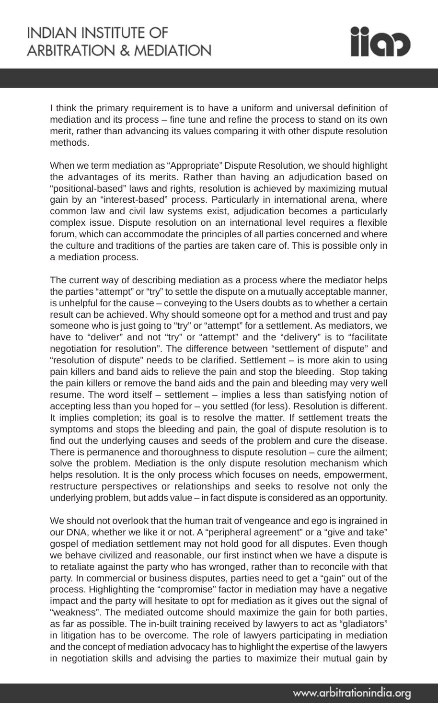I think the primary requirement is to have a uniform and universal definition of mediation and its process – fine tune and refine the process to stand on its own merit, rather than advancing its values comparing it with other dispute resolution methods.

When we term mediation as "Appropriate" Dispute Resolution, we should highlight the advantages of its merits. Rather than having an adjudication based on "positional-based" laws and rights, resolution is achieved by maximizing mutual gain by an "interest-based" process. Particularly in international arena, where common law and civil law systems exist, adjudication becomes a particularly complex issue. Dispute resolution on an international level requires a flexible forum, which can accommodate the principles of all parties concerned and where the culture and traditions of the parties are taken care of. This is possible only in a mediation process.

The current way of describing mediation as a process where the mediator helps the parties "attempt" or "try" to settle the dispute on a mutually acceptable manner, is unhelpful for the cause – conveying to the Users doubts as to whether a certain result can be achieved. Why should someone opt for a method and trust and pay someone who is just going to "try" or "attempt" for a settlement. As mediators, we have to "deliver" and not "try" or "attempt" and the "delivery" is to "facilitate negotiation for resolution". The difference between "settlement of dispute" and "resolution of dispute" needs to be clarified. Settlement – is more akin to using pain killers and band aids to relieve the pain and stop the bleeding. Stop taking the pain killers or remove the band aids and the pain and bleeding may very well resume. The word itself – settlement – implies a less than satisfying notion of accepting less than you hoped for – you settled (for less). Resolution is different. It implies completion; its goal is to resolve the matter. If settlement treats the symptoms and stops the bleeding and pain, the goal of dispute resolution is to find out the underlying causes and seeds of the problem and cure the disease. There is permanence and thoroughness to dispute resolution – cure the ailment; solve the problem. Mediation is the only dispute resolution mechanism which helps resolution. It is the only process which focuses on needs, empowerment, restructure perspectives or relationships and seeks to resolve not only the underlying problem, but adds value – in fact dispute is considered as an opportunity.

We should not overlook that the human trait of vengeance and ego is ingrained in our DNA, whether we like it or not. A "peripheral agreement" or a "give and take" gospel of mediation settlement may not hold good for all disputes. Even though we behave civilized and reasonable, our first instinct when we have a dispute is to retaliate against the party who has wronged, rather than to reconcile with that party. In commercial or business disputes, parties need to get a "gain" out of the process. Highlighting the "compromise" factor in mediation may have a negative impact and the party will hesitate to opt for mediation as it gives out the signal of "weakness". The mediated outcome should maximize the gain for both parties, as far as possible. The in-built training received by lawyers to act as "gladiators" in litigation has to be overcome. The role of lawyers participating in mediation and the concept of mediation advocacy has to highlight the expertise of the lawyers in negotiation skills and advising the parties to maximize their mutual gain by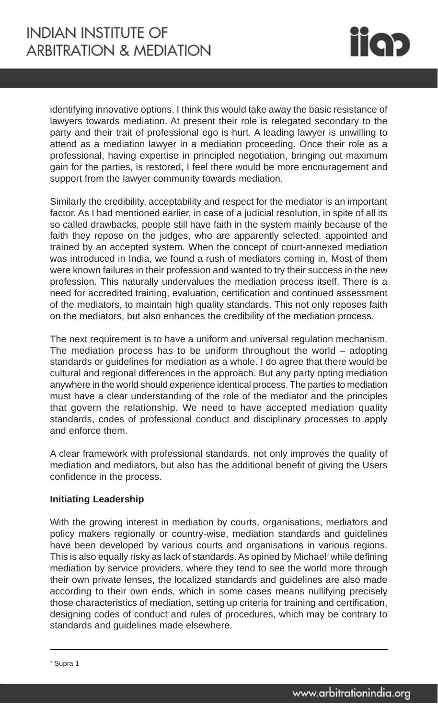

identifying innovative options. I think this would take away the basic resistance of lawyers towards mediation. At present their role is relegated secondary to the party and their trait of professional ego is hurt. A leading lawyer is unwilling to attend as a mediation lawyer in a mediation proceeding. Once their role as a professional, having expertise in principled negotiation, bringing out maximum gain for the parties, is restored, I feel there would be more encouragement and support from the lawyer community towards mediation.

Similarly the credibility, acceptability and respect for the mediator is an important factor. As I had mentioned earlier, in case of a judicial resolution, in spite of all its so called drawbacks, people still have faith in the system mainly because of the faith they repose on the judges, who are apparently selected, appointed and trained by an accepted system. When the concept of court-annexed mediation was introduced in India, we found a rush of mediators coming in. Most of them were known failures in their profession and wanted to try their success in the new profession. This naturally undervalues the mediation process itself. There is a need for accredited training, evaluation, certification and continued assessment of the mediators, to maintain high quality standards. This not only reposes faith on the mediators, but also enhances the credibility of the mediation process.

The next requirement is to have a uniform and universal regulation mechanism. The mediation process has to be uniform throughout the world – adopting standards or guidelines for mediation as a whole. I do agree that there would be cultural and regional differences in the approach. But any party opting mediation anywhere in the world should experience identical process. The parties to mediation must have a clear understanding of the role of the mediator and the principles that govern the relationship. We need to have accepted mediation quality standards, codes of professional conduct and disciplinary processes to apply and enforce them.

A clear framework with professional standards, not only improves the quality of mediation and mediators, but also has the additional benefit of giving the Users confidence in the process.

# **Initiating Leadership**

With the growing interest in mediation by courts, organisations, mediators and policy makers regionally or country-wise, mediation standards and guidelines have been developed by various courts and organisations in various regions. This is also equally risky as lack of standards. As opined by Michael<sup>7</sup> while defining mediation by service providers, where they tend to see the world more through their own private lenses, the localized standards and guidelines are also made according to their own ends, which in some cases means nullifying precisely those characteristics of mediation, setting up criteria for training and certification, designing codes of conduct and rules of procedures, which may be contrary to standards and guidelines made elsewhere.

<sup>7</sup> Supra 1